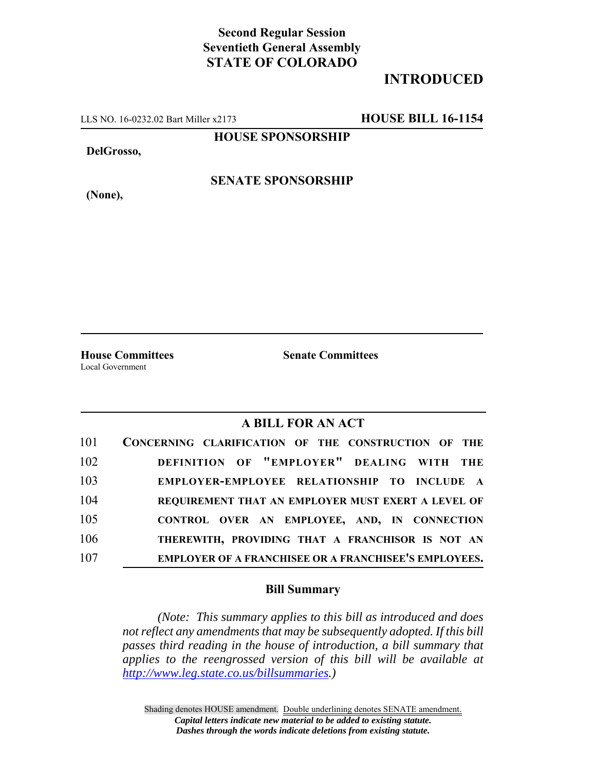## **Second Regular Session Seventieth General Assembly STATE OF COLORADO**

## **INTRODUCED**

LLS NO. 16-0232.02 Bart Miller x2173 **HOUSE BILL 16-1154**

**HOUSE SPONSORSHIP**

**DelGrosso,**

**(None),**

**SENATE SPONSORSHIP**

Local Government

**House Committees Senate Committees**

## **A BILL FOR AN ACT**

| 101 | CONCERNING CLARIFICATION OF THE CONSTRUCTION OF THE   |
|-----|-------------------------------------------------------|
| 102 | DEFINITION OF "EMPLOYER" DEALING WITH THE             |
| 103 | EMPLOYER-EMPLOYEE RELATIONSHIP TO INCLUDE A           |
| 104 | REQUIREMENT THAT AN EMPLOYER MUST EXERT A LEVEL OF    |
| 105 | CONTROL OVER AN EMPLOYEE, AND, IN CONNECTION          |
| 106 | THEREWITH, PROVIDING THAT A FRANCHISOR IS NOT AN      |
| 107 | EMPLOYER OF A FRANCHISEE OR A FRANCHISEE'S EMPLOYEES. |

## **Bill Summary**

*(Note: This summary applies to this bill as introduced and does not reflect any amendments that may be subsequently adopted. If this bill passes third reading in the house of introduction, a bill summary that applies to the reengrossed version of this bill will be available at http://www.leg.state.co.us/billsummaries.)*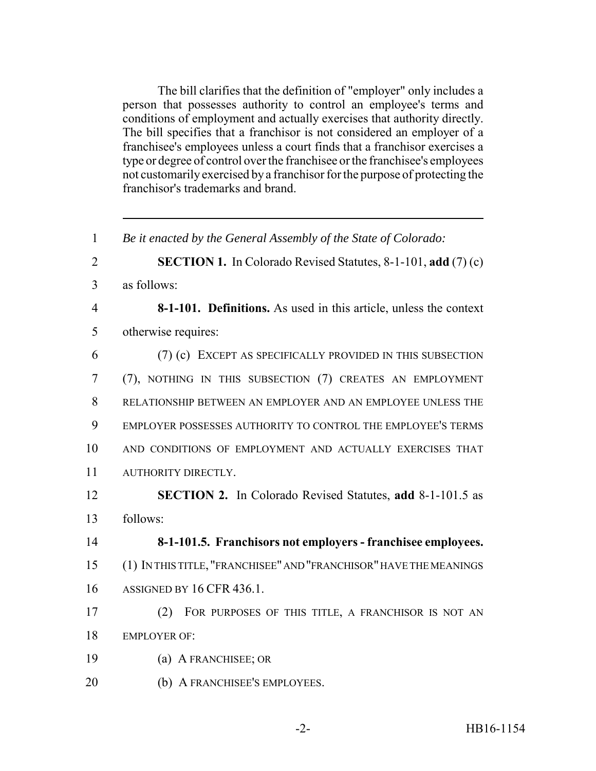The bill clarifies that the definition of "employer" only includes a person that possesses authority to control an employee's terms and conditions of employment and actually exercises that authority directly. The bill specifies that a franchisor is not considered an employer of a franchisee's employees unless a court finds that a franchisor exercises a type or degree of control over the franchisee or the franchisee's employees not customarily exercised by a franchisor for the purpose of protecting the franchisor's trademarks and brand.

 *Be it enacted by the General Assembly of the State of Colorado:* **SECTION 1.** In Colorado Revised Statutes, 8-1-101, **add** (7) (c) as follows: **8-1-101. Definitions.** As used in this article, unless the context otherwise requires: (7) (c) EXCEPT AS SPECIFICALLY PROVIDED IN THIS SUBSECTION (7), NOTHING IN THIS SUBSECTION (7) CREATES AN EMPLOYMENT RELATIONSHIP BETWEEN AN EMPLOYER AND AN EMPLOYEE UNLESS THE EMPLOYER POSSESSES AUTHORITY TO CONTROL THE EMPLOYEE'S TERMS AND CONDITIONS OF EMPLOYMENT AND ACTUALLY EXERCISES THAT AUTHORITY DIRECTLY. **SECTION 2.** In Colorado Revised Statutes, **add** 8-1-101.5 as follows: **8-1-101.5. Franchisors not employers - franchisee employees.** (1) IN THIS TITLE, "FRANCHISEE" AND "FRANCHISOR" HAVE THE MEANINGS ASSIGNED BY 16 CFR 436.1. (2) FOR PURPOSES OF THIS TITLE, A FRANCHISOR IS NOT AN EMPLOYER OF: (a) A FRANCHISEE; OR (b) A FRANCHISEE'S EMPLOYEES.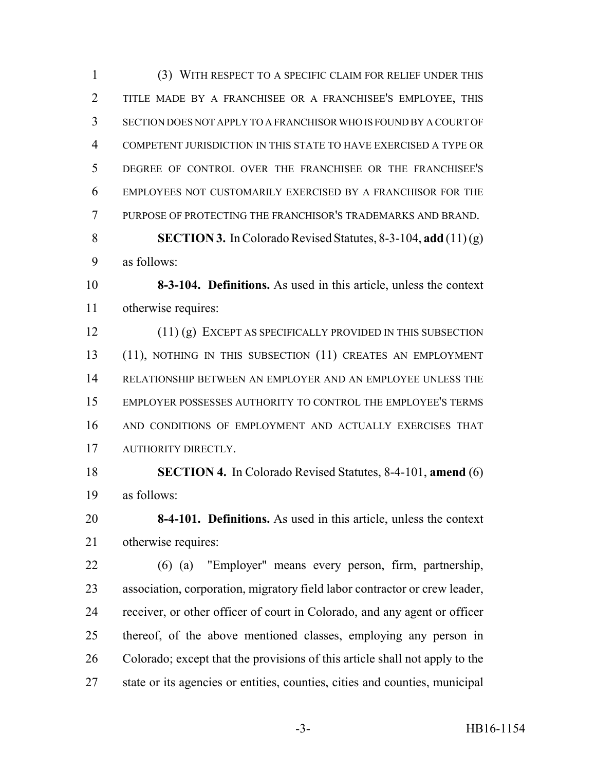(3) WITH RESPECT TO A SPECIFIC CLAIM FOR RELIEF UNDER THIS TITLE MADE BY A FRANCHISEE OR A FRANCHISEE'S EMPLOYEE, THIS SECTION DOES NOT APPLY TO A FRANCHISOR WHO IS FOUND BY A COURT OF COMPETENT JURISDICTION IN THIS STATE TO HAVE EXERCISED A TYPE OR DEGREE OF CONTROL OVER THE FRANCHISEE OR THE FRANCHISEE'S EMPLOYEES NOT CUSTOMARILY EXERCISED BY A FRANCHISOR FOR THE PURPOSE OF PROTECTING THE FRANCHISOR'S TRADEMARKS AND BRAND.

 **SECTION 3.** In Colorado Revised Statutes, 8-3-104, **add** (11) (g) as follows:

 **8-3-104. Definitions.** As used in this article, unless the context otherwise requires:

 (11) (g) EXCEPT AS SPECIFICALLY PROVIDED IN THIS SUBSECTION (11), NOTHING IN THIS SUBSECTION (11) CREATES AN EMPLOYMENT RELATIONSHIP BETWEEN AN EMPLOYER AND AN EMPLOYEE UNLESS THE EMPLOYER POSSESSES AUTHORITY TO CONTROL THE EMPLOYEE'S TERMS AND CONDITIONS OF EMPLOYMENT AND ACTUALLY EXERCISES THAT AUTHORITY DIRECTLY.

 **SECTION 4.** In Colorado Revised Statutes, 8-4-101, **amend** (6) as follows:

 **8-4-101. Definitions.** As used in this article, unless the context otherwise requires:

 (6) (a) "Employer" means every person, firm, partnership, association, corporation, migratory field labor contractor or crew leader, receiver, or other officer of court in Colorado, and any agent or officer thereof, of the above mentioned classes, employing any person in Colorado; except that the provisions of this article shall not apply to the state or its agencies or entities, counties, cities and counties, municipal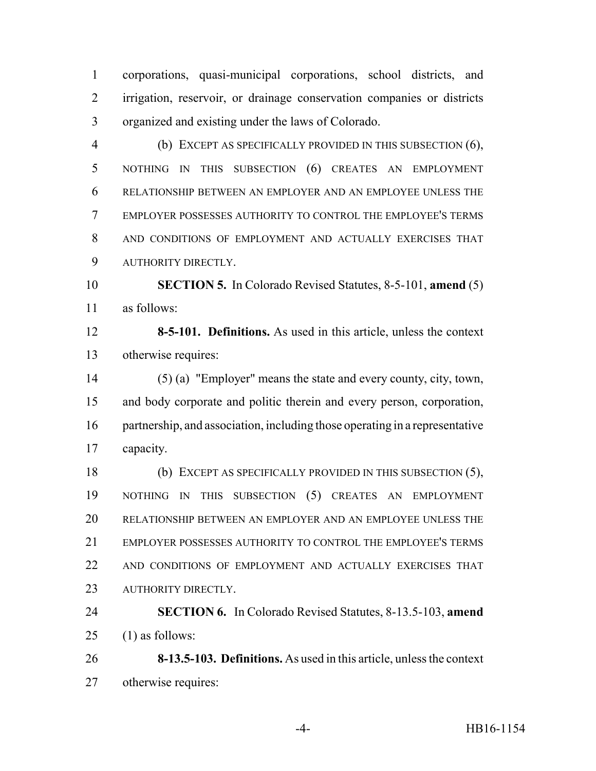corporations, quasi-municipal corporations, school districts, and irrigation, reservoir, or drainage conservation companies or districts organized and existing under the laws of Colorado.

 (b) EXCEPT AS SPECIFICALLY PROVIDED IN THIS SUBSECTION (6), NOTHING IN THIS SUBSECTION (6) CREATES AN EMPLOYMENT RELATIONSHIP BETWEEN AN EMPLOYER AND AN EMPLOYEE UNLESS THE EMPLOYER POSSESSES AUTHORITY TO CONTROL THE EMPLOYEE'S TERMS AND CONDITIONS OF EMPLOYMENT AND ACTUALLY EXERCISES THAT AUTHORITY DIRECTLY.

 **SECTION 5.** In Colorado Revised Statutes, 8-5-101, **amend** (5) as follows:

 **8-5-101. Definitions.** As used in this article, unless the context otherwise requires:

 (5) (a) "Employer" means the state and every county, city, town, and body corporate and politic therein and every person, corporation, partnership, and association, including those operating in a representative capacity.

 (b) EXCEPT AS SPECIFICALLY PROVIDED IN THIS SUBSECTION (5), NOTHING IN THIS SUBSECTION (5) CREATES AN EMPLOYMENT RELATIONSHIP BETWEEN AN EMPLOYER AND AN EMPLOYEE UNLESS THE EMPLOYER POSSESSES AUTHORITY TO CONTROL THE EMPLOYEE'S TERMS AND CONDITIONS OF EMPLOYMENT AND ACTUALLY EXERCISES THAT 23 AUTHORITY DIRECTLY.

 **SECTION 6.** In Colorado Revised Statutes, 8-13.5-103, **amend** 25  $(1)$  as follows:

 **8-13.5-103. Definitions.** As used in this article, unless the context otherwise requires: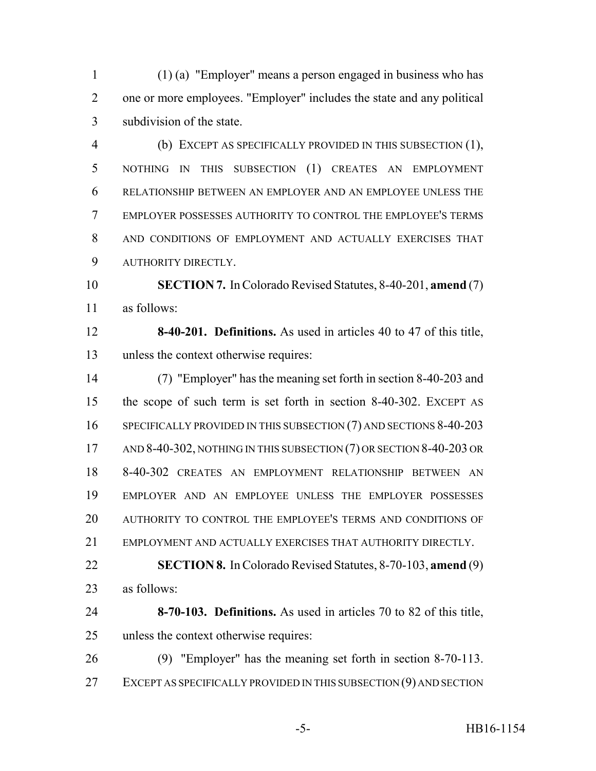(1) (a) "Employer" means a person engaged in business who has one or more employees. "Employer" includes the state and any political subdivision of the state.

 (b) EXCEPT AS SPECIFICALLY PROVIDED IN THIS SUBSECTION (1), NOTHING IN THIS SUBSECTION (1) CREATES AN EMPLOYMENT RELATIONSHIP BETWEEN AN EMPLOYER AND AN EMPLOYEE UNLESS THE EMPLOYER POSSESSES AUTHORITY TO CONTROL THE EMPLOYEE'S TERMS AND CONDITIONS OF EMPLOYMENT AND ACTUALLY EXERCISES THAT AUTHORITY DIRECTLY.

 **SECTION 7.** In Colorado Revised Statutes, 8-40-201, **amend** (7) as follows:

 **8-40-201. Definitions.** As used in articles 40 to 47 of this title, unless the context otherwise requires:

 (7) "Employer" has the meaning set forth in section 8-40-203 and the scope of such term is set forth in section 8-40-302. EXCEPT AS 16 SPECIFICALLY PROVIDED IN THIS SUBSECTION (7) AND SECTIONS 8-40-203 17 AND 8-40-302, NOTHING IN THIS SUBSECTION (7) OR SECTION 8-40-203 OR 8-40-302 CREATES AN EMPLOYMENT RELATIONSHIP BETWEEN AN EMPLOYER AND AN EMPLOYEE UNLESS THE EMPLOYER POSSESSES AUTHORITY TO CONTROL THE EMPLOYEE'S TERMS AND CONDITIONS OF EMPLOYMENT AND ACTUALLY EXERCISES THAT AUTHORITY DIRECTLY.

 **SECTION 8.** In Colorado Revised Statutes, 8-70-103, **amend** (9) as follows:

 **8-70-103. Definitions.** As used in articles 70 to 82 of this title, unless the context otherwise requires:

 (9) "Employer" has the meaning set forth in section 8-70-113. EXCEPT AS SPECIFICALLY PROVIDED IN THIS SUBSECTION (9) AND SECTION